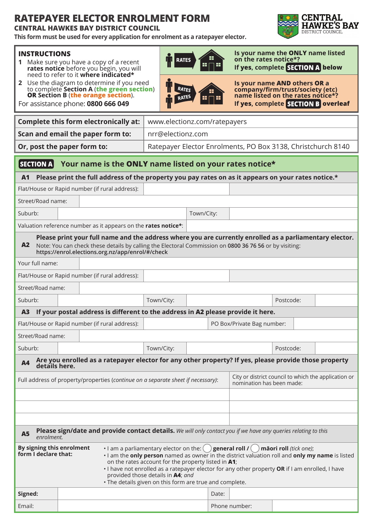## **RATEPAYER ELECTOR ENROLMENT FORM**

**CENTRAL HAWKES BAY DISTRICT COUNCIL**

**1** Make sure you have a copy of a recent **rates notice** before you begin, you will need to refer to it **where indicated\* 2** Use the diagram to determine if you need to complete **Section A** (**the green section**) **OR Section B** (**the orange section**). For assistance phone: **0800 666 049**

**INSTRUCTIONS**

**This form must be used for every application for enrolment as a ratepayer elector.**



**Is your name the ONLY name listed on the rates notice\*? If yes, complete SECTION A below** 

| RATES<br><b>RATES</b> |  |
|-----------------------|--|
|-----------------------|--|

**Is your name AND others OR a company/firm/trust/society (etc) name listed on the rates notice\*? If yes, complete SECTION B overleaf** 

|                                                                                                                                                                                                                                                                                                                                                                                                                                                                                                                                     |                                   | <b>Complete this form electronically at:</b>                                                          | www.electionz.com/ratepayers                                 |                                                                                   |                            |               |           |  |  |
|-------------------------------------------------------------------------------------------------------------------------------------------------------------------------------------------------------------------------------------------------------------------------------------------------------------------------------------------------------------------------------------------------------------------------------------------------------------------------------------------------------------------------------------|-----------------------------------|-------------------------------------------------------------------------------------------------------|--------------------------------------------------------------|-----------------------------------------------------------------------------------|----------------------------|---------------|-----------|--|--|
|                                                                                                                                                                                                                                                                                                                                                                                                                                                                                                                                     | Scan and email the paper form to: | nrr@electionz.com                                                                                     |                                                              |                                                                                   |                            |               |           |  |  |
| Or, post the paper form to:                                                                                                                                                                                                                                                                                                                                                                                                                                                                                                         |                                   |                                                                                                       | Ratepayer Elector Enrolments, PO Box 3138, Christchurch 8140 |                                                                                   |                            |               |           |  |  |
|                                                                                                                                                                                                                                                                                                                                                                                                                                                                                                                                     |                                   |                                                                                                       |                                                              |                                                                                   |                            |               |           |  |  |
| $ $ SECTION A $ $<br>Your name is the ONLY name listed on your rates notice*                                                                                                                                                                                                                                                                                                                                                                                                                                                        |                                   |                                                                                                       |                                                              |                                                                                   |                            |               |           |  |  |
| A <sub>1</sub>                                                                                                                                                                                                                                                                                                                                                                                                                                                                                                                      |                                   | Please print the full address of the property you pay rates on as it appears on your rates notice.*   |                                                              |                                                                                   |                            |               |           |  |  |
| Flat/House or Rapid number (if rural address):                                                                                                                                                                                                                                                                                                                                                                                                                                                                                      |                                   |                                                                                                       |                                                              |                                                                                   |                            |               |           |  |  |
|                                                                                                                                                                                                                                                                                                                                                                                                                                                                                                                                     | Street/Road name:                 |                                                                                                       |                                                              |                                                                                   |                            |               |           |  |  |
| Suburb:                                                                                                                                                                                                                                                                                                                                                                                                                                                                                                                             |                                   |                                                                                                       |                                                              | Town/City:                                                                        |                            |               |           |  |  |
|                                                                                                                                                                                                                                                                                                                                                                                                                                                                                                                                     |                                   | Valuation reference number as it appears on the rates notice*:                                        |                                                              |                                                                                   |                            |               |           |  |  |
| Please print your full name and the address where you are currently enrolled as a parliamentary elector.<br>A2<br>Note: You can check these details by calling the Electoral Commission on 0800 36 76 56 or by visiting:<br>https://enrol.elections.org.nz/app/enrol/#/check                                                                                                                                                                                                                                                        |                                   |                                                                                                       |                                                              |                                                                                   |                            |               |           |  |  |
| Your full name:                                                                                                                                                                                                                                                                                                                                                                                                                                                                                                                     |                                   |                                                                                                       |                                                              |                                                                                   |                            |               |           |  |  |
|                                                                                                                                                                                                                                                                                                                                                                                                                                                                                                                                     |                                   | Flat/House or Rapid number (if rural address):                                                        |                                                              |                                                                                   |                            |               |           |  |  |
| Street/Road name:                                                                                                                                                                                                                                                                                                                                                                                                                                                                                                                   |                                   |                                                                                                       |                                                              |                                                                                   |                            |               |           |  |  |
| Suburb:                                                                                                                                                                                                                                                                                                                                                                                                                                                                                                                             |                                   |                                                                                                       | Town/City:                                                   |                                                                                   |                            |               | Postcode: |  |  |
| A <sub>3</sub>                                                                                                                                                                                                                                                                                                                                                                                                                                                                                                                      |                                   | If your postal address is different to the address in A2 please provide it here.                      |                                                              |                                                                                   |                            |               |           |  |  |
| Flat/House or Rapid number (if rural address):                                                                                                                                                                                                                                                                                                                                                                                                                                                                                      |                                   |                                                                                                       |                                                              |                                                                                   | PO Box/Private Bag number: |               |           |  |  |
| Street/Road name:                                                                                                                                                                                                                                                                                                                                                                                                                                                                                                                   |                                   |                                                                                                       |                                                              |                                                                                   |                            |               |           |  |  |
| Suburb:                                                                                                                                                                                                                                                                                                                                                                                                                                                                                                                             |                                   |                                                                                                       | Town/City:                                                   |                                                                                   |                            |               | Postcode: |  |  |
| <b>A4</b><br>details here.                                                                                                                                                                                                                                                                                                                                                                                                                                                                                                          |                                   | Are you enrolled as a ratepayer elector for any other property? If yes, please provide those property |                                                              |                                                                                   |                            |               |           |  |  |
| Full address of property/properties (continue on a separate sheet if necessary):                                                                                                                                                                                                                                                                                                                                                                                                                                                    |                                   |                                                                                                       |                                                              | City or district council to which the application or<br>nomination has been made: |                            |               |           |  |  |
|                                                                                                                                                                                                                                                                                                                                                                                                                                                                                                                                     |                                   |                                                                                                       |                                                              |                                                                                   |                            |               |           |  |  |
|                                                                                                                                                                                                                                                                                                                                                                                                                                                                                                                                     |                                   |                                                                                                       |                                                              |                                                                                   |                            |               |           |  |  |
|                                                                                                                                                                                                                                                                                                                                                                                                                                                                                                                                     |                                   |                                                                                                       |                                                              |                                                                                   |                            |               |           |  |  |
| Please sign/date and provide contact details. We will only contact you if we have any queries relating to this<br><b>A5</b><br>enrolment.                                                                                                                                                                                                                                                                                                                                                                                           |                                   |                                                                                                       |                                                              |                                                                                   |                            |               |           |  |  |
| By signing this enrolment<br>$\cdot$ I am a parliamentary elector on the: $\binom{ }{ }$ general roll $\binom{ }{ }$<br>māori roll (tick one);<br>form I declare that:<br>. I am the only person named as owner in the district valuation roll and only my name is listed<br>on the rates account for the property listed in A1;<br>. I have not enrolled as a ratepayer elector for any other property OR if I am enrolled, I have<br>provided those details in A4; and<br>. The details given on this form are true and complete. |                                   |                                                                                                       |                                                              |                                                                                   |                            |               |           |  |  |
| Signed:                                                                                                                                                                                                                                                                                                                                                                                                                                                                                                                             |                                   |                                                                                                       |                                                              |                                                                                   | Date:                      |               |           |  |  |
| Email:                                                                                                                                                                                                                                                                                                                                                                                                                                                                                                                              |                                   |                                                                                                       |                                                              |                                                                                   |                            | Phone number: |           |  |  |